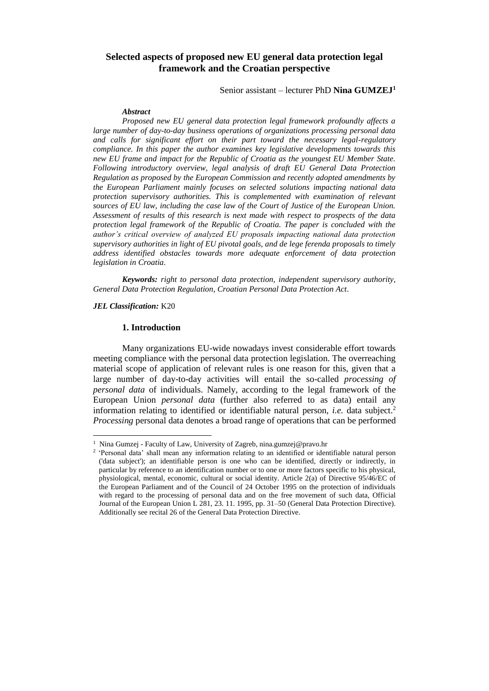# **Selected aspects of proposed new EU general data protection legal framework and the Croatian perspective**

Senior assistant – lecturer PhD **Nina GUMZEJ<sup>1</sup>**

#### *Abstract*

*Proposed new EU general data protection legal framework profoundly affects a large number of day-to-day business operations of organizations processing personal data and calls for significant effort on their part toward the necessary legal-regulatory compliance. In this paper the author examines key legislative developments towards this new EU frame and impact for the Republic of Croatia as the youngest EU Member State. Following introductory overview, legal analysis of draft EU General Data Protection Regulation as proposed by the European Commission and recently adopted amendments by the European Parliament mainly focuses on selected solutions impacting national data protection supervisory authorities. This is complemented with examination of relevant sources of EU law, including the case law of the Court of Justice of the European Union. Assessment of results of this research is next made with respect to prospects of the data protection legal framework of the Republic of Croatia. The paper is concluded with the author's critical overview of analyzed EU proposals impacting national data protection supervisory authorities in light of EU pivotal goals, and de lege ferenda proposals to timely address identified obstacles towards more adequate enforcement of data protection legislation in Croatia.*

*Keywords: right to personal data protection, independent supervisory authority, General Data Protection Regulation, Croatian Personal Data Protection Act.*

#### *JEL Classification:* K20

 $\overline{\phantom{a}}$ 

## **1. Introduction**

Many organizations EU-wide nowadays invest considerable effort towards meeting compliance with the personal data protection legislation. The overreaching material scope of application of relevant rules is one reason for this, given that a large number of day-to-day activities will entail the so-called *processing of personal data* of individuals. Namely, according to the legal framework of the European Union *personal data* (further also referred to as data) entail any information relating to identified or identifiable natural person, *i.e.* data subject.<sup>2</sup> *Processing* personal data denotes a broad range of operations that can be performed

<sup>&</sup>lt;sup>1</sup> Nina Gumzej - Faculty of Law, University of Zagreb, nina.gumzej@pravo.hr

<sup>&</sup>lt;sup>2</sup> 'Personal data' shall mean any information relating to an identified or identifiable natural person ('data subject'); an identifiable person is one who can be identified, directly or indirectly, in particular by reference to an identification number or to one or more factors specific to his physical, physiological, mental, economic, cultural or social identity. Article 2(a) of Directive 95/46/EC of the European Parliament and of the Council of 24 October 1995 on the protection of individuals with regard to the processing of personal data and on the free movement of such data, Official Journal of the European Union L 281, 23. 11. 1995, pp. 31–50 (General Data Protection Directive). Additionally see recital 26 of the General Data Protection Directive.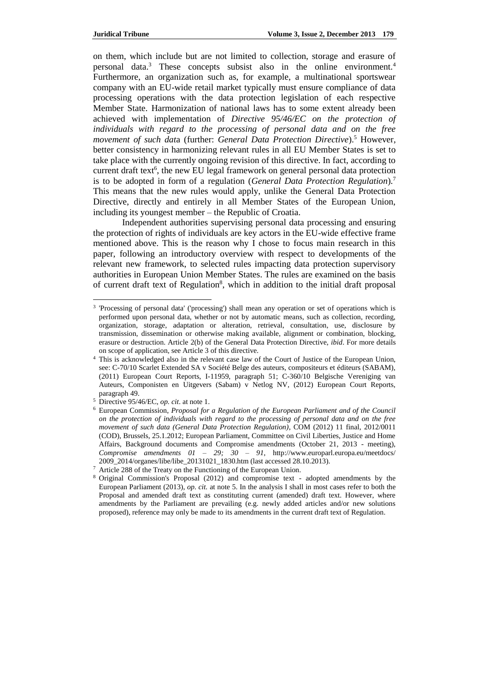on them, which include but are not limited to collection, storage and erasure of personal data.<sup>3</sup> These concepts subsist also in the online environment.<sup>4</sup> Furthermore, an organization such as, for example, a multinational sportswear company with an EU-wide retail market typically must ensure compliance of data processing operations with the data protection legislation of each respective Member State. Harmonization of national laws has to some extent already been achieved with implementation of *Directive 95/46/EC on the protection of individuals with regard to the processing of personal data and on the free movement of such dat*a (further: *General Data Protection Directive*). <sup>5</sup> However, better consistency in harmonizing relevant rules in all EU Member States is set to take place with the currently ongoing revision of this directive. In fact, according to current draft text<sup>6</sup>, the new EU legal framework on general personal data protection is to be adopted in form of a regulation (*General Data Protection Regulation*).<sup>7</sup> This means that the new rules would apply, unlike the General Data Protection Directive, directly and entirely in all Member States of the European Union, including its youngest member – the Republic of Croatia.

Independent authorities supervising personal data processing and ensuring the protection of rights of individuals are key actors in the EU-wide effective frame mentioned above. This is the reason why I chose to focus main research in this paper, following an introductory overview with respect to developments of the relevant new framework, to selected rules impacting data protection supervisory authorities in European Union Member States. The rules are examined on the basis of current draft text of Regulation<sup>8</sup>, which in addition to the initial draft proposal

<sup>&</sup>lt;sup>3</sup> 'Processing of personal data' ('processing') shall mean any operation or set of operations which is performed upon personal data, whether or not by automatic means, such as collection, recording, organization, storage, adaptation or alteration, retrieval, consultation, use, disclosure by transmission, dissemination or otherwise making available, alignment or combination, blocking, erasure or destruction. Article 2(b) of the General Data Protection Directive, *ibid*. For more details on scope of application, see Article 3 of this directive.

<sup>4</sup> This is acknowledged also in the relevant case law of the Court of Justice of the European Union, see: C-70/10 Scarlet Extended SA v Société Belge des auteurs, compositeurs et éditeurs (SABAM), (2011) European Court Reports, I-11959, paragraph 51; C-360/10 Belgische Vereniging van Auteurs, Componisten en Uitgevers (Sabam) v Netlog NV, (2012) European Court Reports, paragraph 49.

<sup>5</sup> Directive 95/46/EC, *op. cit*. at note 1.

<sup>6</sup> European Commission, *Proposal for a Regulation of the European Parliament and of the Council on the protection of individuals with regard to the processing of personal data and on the free movement of such data (General Data Protection Regulation)*, COM (2012) 11 final, 2012/0011 (COD), Brussels, 25.1.2012; European Parliament, Committee on Civil Liberties, Justice and Home Affairs, Background documents and Compromise amendments (October 21, 2013 - meeting), *Compromise amendments 01 – 29; 30 – 91*, <http://www.europarl.europa.eu/meetdocs/> 2009\_2014/organes/libe/libe\_20131021\_1830.htm (last accessed 28.10.2013).

Article 288 of the Treaty on the Functioning of the European Union.

<sup>8</sup> Original Commission's Proposal (2012) and compromise text - adopted amendments by the European Parliament (2013), *op. cit.* at note 5. In the analysis I shall in most cases refer to both the Proposal and amended draft text as constituting current (amended) draft text. However, where amendments by the Parliament are prevailing (e.g. newly added articles and/or new solutions proposed), reference may only be made to its amendments in the current draft text of Regulation.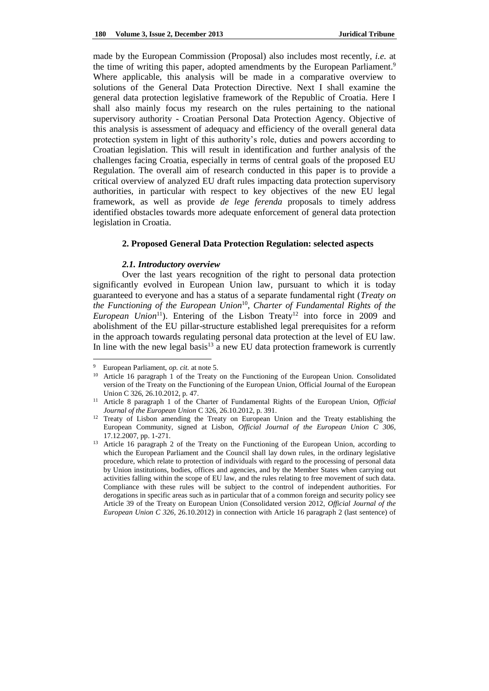made by the European Commission (Proposal) also includes most recently, *i.e.* at the time of writing this paper, adopted amendments by the European Parliament.<sup>9</sup> Where applicable, this analysis will be made in a comparative overview to solutions of the General Data Protection Directive. Next I shall examine the general data protection legislative framework of the Republic of Croatia. Here I shall also mainly focus my research on the rules pertaining to the national supervisory authority - Croatian Personal Data Protection Agency. Objective of this analysis is assessment of adequacy and efficiency of the overall general data protection system in light of this authority's role, duties and powers according to Croatian legislation. This will result in identification and further analysis of the challenges facing Croatia, especially in terms of central goals of the proposed EU Regulation. The overall aim of research conducted in this paper is to provide a critical overview of analyzed EU draft rules impacting data protection supervisory authorities, in particular with respect to key objectives of the new EU legal framework, as well as provide *de lege ferenda* proposals to timely address identified obstacles towards more adequate enforcement of general data protection legislation in Croatia.

### **2. Proposed General Data Protection Regulation: selected aspects**

### *2.1. Introductory overview*

Over the last years recognition of the right to personal data protection significantly evolved in European Union law, pursuant to which it is today guaranteed to everyone and has a status of a separate fundamental right (*Treaty on the Functioning of the European Union*<sup>10</sup> , *Charter of Fundamental Rights of the European Union*<sup>11</sup>). Entering of the Lisbon Treaty<sup>12</sup> into force in 2009 and abolishment of the EU pillar-structure established legal prerequisites for a reform in the approach towards regulating personal data protection at the level of EU law. In line with the new legal basis $13$  a new EU data protection framework is currently

<sup>9</sup> European Parliament, *op. cit.* at note 5.

<sup>&</sup>lt;sup>10</sup> Article 16 paragraph 1 of the Treaty on the Functioning of the European Union. Consolidated version of the Treaty on the Functioning of the European Union, Official Journal of the European Union C 326, 26.10.2012, p. 47.

<sup>11</sup> Article 8 paragraph 1 of the Charter of Fundamental Rights of the European Union, *Official Journal of the European Union* C 326, 26.10.2012, p. 391.

<sup>&</sup>lt;sup>12</sup> Treaty of Lisbon amending the Treaty on European Union and the Treaty establishing the European Community, signed at Lisbon, *Official Journal of the European Union C 306*, 17.12.2007, pp. 1-271.

<sup>&</sup>lt;sup>13</sup> Article 16 paragraph 2 of the Treaty on the Functioning of the European Union, according to which the European Parliament and the Council shall lay down rules, in the ordinary legislative procedure, which relate to protection of individuals with regard to the processing of personal data by Union institutions, bodies, offices and agencies, and by the Member States when carrying out activities falling within the scope of EU law, and the rules relating to free movement of such data. Compliance with these rules will be subject to the control of independent authorities. For derogations in specific areas such as in particular that of a common foreign and security policy see Article 39 of the Treaty on European Union (Consolidated version 2012, *Official Journal of the European Union C 326*, 26.10.2012) in connection with Article 16 paragraph 2 (last sentence) of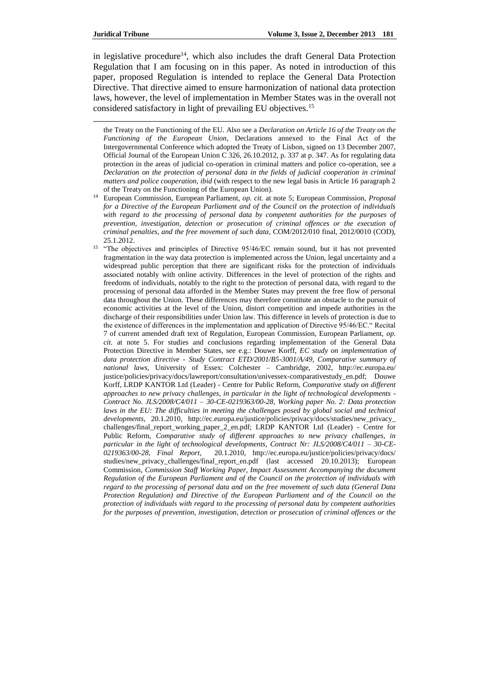in legislative procedure<sup>14</sup>, which also includes the draft General Data Protection Regulation that I am focusing on in this paper. As noted in introduction of this paper, proposed Regulation is intended to replace the General Data Protection Directive. That directive aimed to ensure harmonization of national data protection laws, however, the level of implementation in Member States was in the overall not considered satisfactory in light of prevailing EU objectives.<sup>15</sup>

the Treaty on the Functioning of the EU. Also see a *Declaration on Article 16 of the Treaty on the Functioning of the European Union*, Declarations annexed to the Final Act of the Intergovernmental Conference which adopted the Treaty of Lisbon, signed on 13 December 2007, Official Journal of the European Union C 326, 26.10.2012, p. 337 at p. 347. As for regulating data protection in the areas of judicial co-operation in criminal matters and police co-operation, see a *Declaration on the protection of personal data in the fields of judicial cooperation in criminal matters and police cooperation, ibid* (with respect to the new legal basis in Article 16 paragraph 2 of the Treaty on the Functioning of the European Union).

- <sup>14</sup> European Commission, European Parliament, *op. cit.* at note 5; European Commission, *Proposal for a Directive of the European Parliament and of the Council on the protection of individuals with regard to the processing of personal data by competent authorities for the purposes of prevention, investigation, detection or prosecution of criminal offences or the execution of criminal penalties, and the free movement of such data*, COM/2012/010 final, 2012/0010 (COD), 25.1.2012.
- <sup>15</sup> "The objectives and principles of Directive 95/46/EC remain sound, but it has not prevented fragmentation in the way data protection is implemented across the Union, legal uncertainty and a widespread public perception that there are significant risks for the protection of individuals associated notably with online activity. Differences in the level of protection of the rights and freedoms of individuals, notably to the right to the protection of personal data, with regard to the processing of personal data afforded in the Member States may prevent the free flow of personal data throughout the Union. These differences may therefore constitute an obstacle to the pursuit of economic activities at the level of the Union, distort competition and impede authorities in the discharge of their responsibilities under Union law. This difference in levels of protection is due to the existence of differences in the implementation and application of Directive 95/46/EC." Recital 7 of current amended draft text of Regulation, European Commission, European Parliament, *op. cit.* at note 5. For studies and conclusions regarding implementation of the General Data Protection Directive in Member States, see e.g.: Douwe Korff, *EC study on implementation of data protection directive - Study Contract ETD/2001/B5-3001/A/49, Comparative summary of national laws*, University of Essex: Colchester – Cambridge, 2002, <http://ec.europa.eu/> justice/policies/privacy/docs/lawreport/consultation/univessex-comparativestudy\_en.pdf; Douwe Korff, LRDP KANTOR Ltd (Leader) - Centre for Public Reform, *Comparative study on different approaches to new privacy challenges, in particular in the light of technological developments - Contract No. JLS/2008/C4/011 – 30-CE-0219363/00-28, Working paper No. 2: Data protection laws in the EU: The difficulties in meeting the challenges posed by global social and technical developments*, 20.1.2010, [http://ec.europa.eu/justice/policies/privacy/docs/studies/new\\_privacy\\_](http://ec.europa.eu/justice/policies/privacy/docs/studies/new_privacy_) challenges/final\_report\_working\_paper\_2\_en.pdf; LRDP KANTOR Ltd (Leader) - Centre for Public Reform, *Comparative study of different approaches to new privacy challenges, in particular in the light of technological developments, Contract Nr: JLS/2008/C4/011 – 30-CE-0219363/00-28*, *Final Report*, 20.1.2010, <http://ec.europa.eu/justice/policies/privacy/docs/> studies/new\_privacy\_challenges/final\_report\_en.pdf (last accessed 20.10.2013); European Commission, *Commission Staff Working Paper, Impact Assessment Accompanying the document Regulation of the European Parliament and of the Council on the protection of individuals with regard to the processing of personal data and on the free movement of such data (General Data Protection Regulation) and Directive of the European Parliament and of the Council on the protection of individuals with regard to the processing of personal data by competent authorities for the purposes of prevention, investigation, detection or prosecution of criminal offences or the*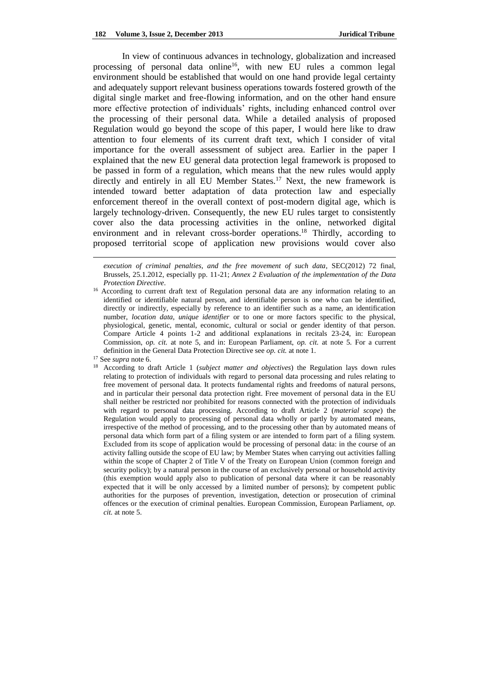In view of continuous advances in technology, globalization and increased processing of personal data online<sup>16</sup>, with new EU rules a common legal environment should be established that would on one hand provide legal certainty and adequately support relevant business operations towards fostered growth of the digital single market and free-flowing information, and on the other hand ensure more effective protection of individuals' rights, including enhanced control over the processing of their personal data. While a detailed analysis of proposed Regulation would go beyond the scope of this paper, I would here like to draw attention to four elements of its current draft text, which I consider of vital importance for the overall assessment of subject area. Earlier in the paper I explained that the new EU general data protection legal framework is proposed to be passed in form of a regulation, which means that the new rules would apply directly and entirely in all EU Member States.<sup>17</sup> Next, the new framework is intended toward better adaptation of data protection law and especially enforcement thereof in the overall context of post-modern digital age, which is largely technology-driven. Consequently, the new EU rules target to consistently cover also the data processing activities in the online, networked digital environment and in relevant cross-border operations.<sup>18</sup> Thirdly, according to proposed territorial scope of application new provisions would cover also

*execution of criminal penalties, and the free movement of such data*, SEC(2012) 72 final, Brussels, 25.1.2012, especially pp. 11-21; *Annex 2 Evaluation of the implementation of the Data Protection Directive*.

<sup>&</sup>lt;sup>16</sup> According to current draft text of Regulation personal data are any information relating to an identified or identifiable natural person, and identifiable person is one who can be identified, directly or indirectly, especially by reference to an identifier such as a name, an identification number, *location data, unique identifier* or to one or more factors specific to the physical, physiological, genetic, mental, economic, cultural or social or gender identity of that person. Compare Article 4 points 1-2 and additional explanations in recitals 23-24, in: European Commission, *op. cit.* at note 5, and in: European Parliament, *op. cit.* at note 5. For a current definition in the General Data Protection Directive see *op. cit.* at note 1.

<sup>17</sup> See *supra* note 6.

<sup>18</sup> According to draft Article 1 (*subject matter and objectives*) the Regulation lays down rules relating to protection of individuals with regard to personal data processing and rules relating to free movement of personal data. It protects fundamental rights and freedoms of natural persons, and in particular their personal data protection right. Free movement of personal data in the EU shall neither be restricted nor prohibited for reasons connected with the protection of individuals with regard to personal data processing. According to draft Article 2 (*material scope*) the Regulation would apply to processing of personal data wholly or partly by automated means, irrespective of the method of processing, and to the processing other than by automated means of personal data which form part of a filing system or are intended to form part of a filing system. Excluded from its scope of application would be processing of personal data: in the course of an activity falling outside the scope of EU law; by Member States when carrying out activities falling within the scope of Chapter 2 of Title V of the Treaty on European Union (common foreign and security policy); by a natural person in the course of an exclusively personal or household activity (this exemption would apply also to publication of personal data where it can be reasonably expected that it will be only accessed by a limited number of persons); by competent public authorities for the purposes of prevention, investigation, detection or prosecution of criminal offences or the execution of criminal penalties. European Commission, European Parliament, *op. cit.* at note 5.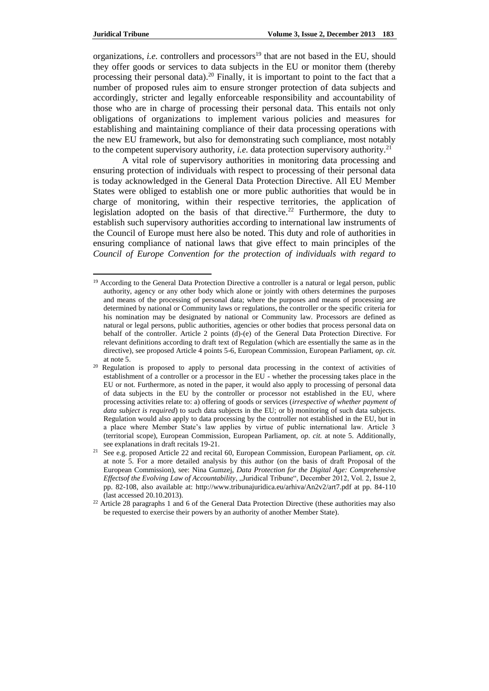organizations, *i.e.* controllers and processors<sup>19</sup> that are not based in the EU, should they offer goods or services to data subjects in the EU or monitor them (thereby processing their personal data).<sup>20</sup> Finally, it is important to point to the fact that a number of proposed rules aim to ensure stronger protection of data subjects and accordingly, stricter and legally enforceable responsibility and accountability of those who are in charge of processing their personal data. This entails not only obligations of organizations to implement various policies and measures for establishing and maintaining compliance of their data processing operations with the new EU framework, but also for demonstrating such compliance, most notably to the competent supervisory authority, *i.e.* data protection supervisory authority.<sup>21</sup>

A vital role of supervisory authorities in monitoring data processing and ensuring protection of individuals with respect to processing of their personal data is today acknowledged in the General Data Protection Directive. All EU Member States were obliged to establish one or more public authorities that would be in charge of monitoring, within their respective territories, the application of legislation adopted on the basis of that directive.<sup>22</sup> Furthermore, the duty to establish such supervisory authorities according to international law instruments of the Council of Europe must here also be noted. This duty and role of authorities in ensuring compliance of national laws that give effect to main principles of the *Council of Europe Convention for the protection of individuals with regard to* 

<sup>&</sup>lt;sup>19</sup> According to the General Data Protection Directive a controller is a natural or legal person, public authority, agency or any other body which alone or jointly with others determines the purposes and means of the processing of personal data; where the purposes and means of processing are determined by national or Community laws or regulations, the controller or the specific criteria for his nomination may be designated by national or Community law. Processors are defined as natural or legal persons, public authorities, agencies or other bodies that process personal data on behalf of the controller. Article 2 points (d)-(e) of the General Data Protection Directive. For relevant definitions according to draft text of Regulation (which are essentially the same as in the directive), see proposed Article 4 points 5-6, European Commission, European Parliament, *op. cit.*  at note 5.

 $20$  Regulation is proposed to apply to personal data processing in the context of activities of establishment of a controller or a processor in the EU - whether the processing takes place in the EU or not. Furthermore, as noted in the paper, it would also apply to processing of personal data of data subjects in the EU by the controller or processor not established in the EU, where processing activities relate to: a) offering of goods or services (*irrespective of whether payment of data subject is required*) to such data subjects in the EU; or b) monitoring of such data subjects. Regulation would also apply to data processing by the controller not established in the EU, but in a place where Member State's law applies by virtue of public international law. Article 3 (territorial scope), European Commission, European Parliament, *op. cit.* at note 5. Additionally, see explanations in draft recitals 19-21.

<sup>21</sup> See e.g. proposed Article 22 and recital 60, European Commission, European Parliament, *op. cit.*  at note 5. For a more detailed analysis by this author (on the basis of draft Proposal of the European Commission), see: Nina Gumzej, *Data Protection for the Digital Age: Comprehensive Effectsof the Evolving Law of Accountability, "Juridical Tribune", December 2012, Vol. 2, Issue 2,* pp. 82-108, also available at: http://www.tribunajuridica.eu/arhiva/An2v2/art7.pdf at pp. 84-110 (last accessed 20.10.2013).

<sup>&</sup>lt;sup>22</sup> Article 28 paragraphs 1 and 6 of the General Data Protection Directive (these authorities may also be requested to exercise their powers by an authority of another Member State).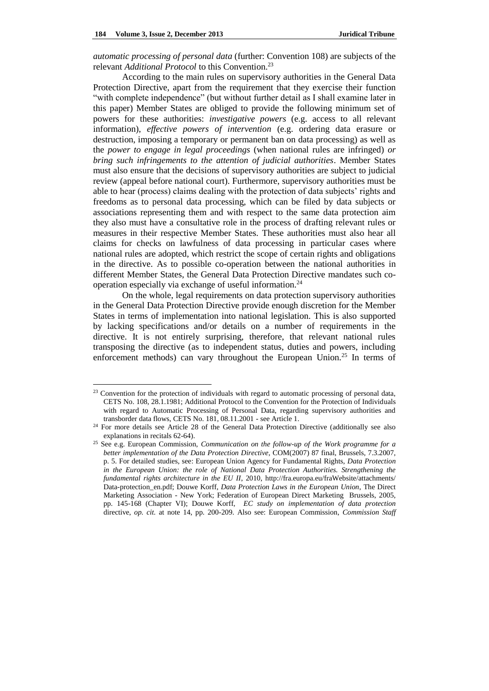*automatic processing of personal data* (further: Convention 108) are subjects of the relevant *Additional Protocol* to this Convention.<sup>23</sup>

According to the main rules on supervisory authorities in the General Data Protection Directive, apart from the requirement that they exercise their function "with complete independence" (but without further detail as I shall examine later in this paper) Member States are obliged to provide the following minimum set of powers for these authorities: *investigative powers* (e.g. access to all relevant information), *effective powers of intervention* (e.g. ordering data erasure or destruction, imposing a temporary or permanent ban on data processing) as well as the *power to engage in legal proceedings* (when national rules are infringed) *or bring such infringements to the attention of judicial authorities*. Member States must also ensure that the decisions of supervisory authorities are subject to judicial review (appeal before national court). Furthermore, supervisory authorities must be able to hear (process) claims dealing with the protection of data subjects' rights and freedoms as to personal data processing, which can be filed by data subjects or associations representing them and with respect to the same data protection aim they also must have a consultative role in the process of drafting relevant rules or measures in their respective Member States. These authorities must also hear all claims for checks on lawfulness of data processing in particular cases where national rules are adopted, which restrict the scope of certain rights and obligations in the directive. As to possible co-operation between the national authorities in different Member States, the General Data Protection Directive mandates such cooperation especially via exchange of useful information.<sup>24</sup>

On the whole, legal requirements on data protection supervisory authorities in the General Data Protection Directive provide enough discretion for the Member States in terms of implementation into national legislation. This is also supported by lacking specifications and/or details on a number of requirements in the directive. It is not entirely surprising, therefore, that relevant national rules transposing the directive (as to independent status, duties and powers, including enforcement methods) can vary throughout the European Union.<sup>25</sup> In terms of

<sup>&</sup>lt;sup>23</sup> Convention for the protection of individuals with regard to automatic processing of personal data, CETS No. 108, 28.1.1981; Additional Protocol to the Convention for the Protection of Individuals with regard to Automatic Processing of Personal Data, regarding supervisory authorities and transborder data flows, CETS No. 181, 08.11.2001 - see Article 1.

<sup>&</sup>lt;sup>24</sup> For more details see Article 28 of the General Data Protection Directive (additionally see also explanations in recitals 62-64).

<sup>25</sup> See e.g. European Commission, *Communication on the follow-up of the Work programme for a better implementation of the Data Protection Directive*, COM(2007) 87 final, Brussels, 7.3.2007, p. 5. For detailed studies, see: European Union Agency for Fundamental Rights, *Data Protection in the European Union: the role of National Data Protection Authorities. Strengthening the fundamental rights architecture in the EU II*, 2010, <http://fra.europa.eu/fraWebsite/attachments/> Data-protection\_en.pdf; Douwe Korff, *Data Protection Laws in the European Union*, The Direct Marketing Association - New York; Federation of European Direct Marketing Brussels, 2005, pp. 145-168 (Chapter VI); Douwe Korff, *EC study on implementation of data protection*  directive, *op. cit.* at note 14, pp. 200-209. Also see: European Commission, *Commission Staff*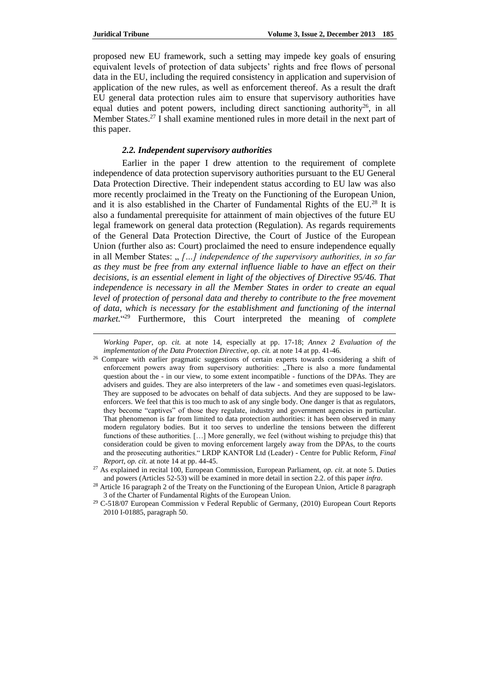proposed new EU framework, such a setting may impede key goals of ensuring equivalent levels of protection of data subjects' rights and free flows of personal data in the EU, including the required consistency in application and supervision of application of the new rules, as well as enforcement thereof. As a result the draft EU general data protection rules aim to ensure that supervisory authorities have equal duties and potent powers, including direct sanctioning authority<sup>26</sup>, in all Member States.<sup>27</sup> I shall examine mentioned rules in more detail in the next part of this paper.

### *2.2. Independent supervisory authorities*

Earlier in the paper I drew attention to the requirement of complete independence of data protection supervisory authorities pursuant to the EU General Data Protection Directive. Their independent status according to EU law was also more recently proclaimed in the Treaty on the Functioning of the European Union, and it is also established in the Charter of Fundamental Rights of the  $EU^{28}$  It is also a fundamental prerequisite for attainment of main objectives of the future EU legal framework on general data protection (Regulation). As regards requirements of the General Data Protection Directive, the Court of Justice of the European Union (further also as: Court) proclaimed the need to ensure independence equally in all Member States: " [...] independence of the supervisory authorities, in so far *as they must be free from any external influence liable to have an effect on their decisions, is an essential element in light of the objectives of Directive 95/46. That independence is necessary in all the Member States in order to create an equal level of protection of personal data and thereby to contribute to the free movement of data, which is necessary for the establishment and functioning of the internal market.*" <sup>29</sup> Furthermore, this Court interpreted the meaning of *complete* 

*Working Paper*, *op. cit.* at note 14, especially at pp. 17-18; *Annex 2 Evaluation of the implementation of the Data Protection Directive*, *op. cit.* at note 14 at pp. 41-46.

<sup>&</sup>lt;sup>26</sup> Compare with earlier pragmatic suggestions of certain experts towards considering a shift of enforcement powers away from supervisory authorities: "There is also a more fundamental question about the - in our view, to some extent incompatible - functions of the DPAs. They are advisers and guides. They are also interpreters of the law - and sometimes even quasi-legislators. They are supposed to be advocates on behalf of data subjects. And they are supposed to be lawenforcers. We feel that this is too much to ask of any single body. One danger is that as regulators, they become "captives" of those they regulate, industry and government agencies in particular. That phenomenon is far from limited to data protection authorities: it has been observed in many modern regulatory bodies. But it too serves to underline the tensions between the different functions of these authorities. […] More generally, we feel (without wishing to prejudge this) that consideration could be given to moving enforcement largely away from the DPAs, to the courts and the prosecuting authorities." LRDP KANTOR Ltd (Leader) - Centre for Public Reform, *Final Report*, *op. cit.* at note 14 at pp. 44-45.

<sup>27</sup> As explained in recital 100, European Commission, European Parliament, *op. cit*. at note 5. Duties and powers (Articles 52-53) will be examined in more detail in section 2.2. of this paper *infra*.

<sup>&</sup>lt;sup>28</sup> Article 16 paragraph 2 of the Treaty on the Functioning of the European Union, Article 8 paragraph 3 of the Charter of Fundamental Rights of the European Union.

<sup>&</sup>lt;sup>29</sup> C-518/07 European Commission v Federal Republic of Germany, (2010) European Court Reports 2010 I-01885, paragraph 50.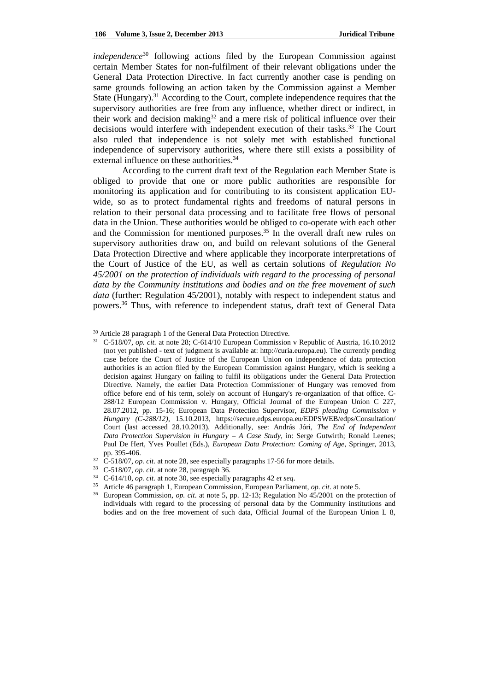*independence*<sup>30</sup> following actions filed by the European Commission against certain Member States for non-fulfilment of their relevant obligations under the General Data Protection Directive. In fact currently another case is pending on same grounds following an action taken by the Commission against a Member State (Hungary).<sup>31</sup> According to the Court, complete independence requires that the supervisory authorities are free from any influence, whether direct or indirect, in their work and decision making<sup>32</sup> and a mere risk of political influence over their decisions would interfere with independent execution of their tasks.<sup>33</sup> The Court also ruled that independence is not solely met with established functional independence of supervisory authorities, where there still exists a possibility of external influence on these authorities.<sup>34</sup>

According to the current draft text of the Regulation each Member State is obliged to provide that one or more public authorities are responsible for monitoring its application and for contributing to its consistent application EUwide, so as to protect fundamental rights and freedoms of natural persons in relation to their personal data processing and to facilitate free flows of personal data in the Union. These authorities would be obliged to co-operate with each other and the Commission for mentioned purposes.<sup>35</sup> In the overall draft new rules on supervisory authorities draw on, and build on relevant solutions of the General Data Protection Directive and where applicable they incorporate interpretations of the Court of Justice of the EU, as well as certain solutions of *Regulation No 45/2001 on the protection of individuals with regard to the processing of personal data by the Community institutions and bodies and on the free movement of such data* (further: Regulation 45/2001), notably with respect to independent status and powers.<sup>36</sup> Thus, with reference to independent status, draft text of General Data

<sup>30</sup> Article 28 paragraph 1 of the General Data Protection Directive.

<sup>&</sup>lt;sup>31</sup> C-518/07, *op. cit.* at note 28; C-614/10 European Commission v Republic of Austria, 16.10.2012 (not yet published - text of judgment is available at: http://curia.europa.eu). The currently pending case before the Court of Justice of the European Union on independence of data protection authorities is an action filed by the European Commission against Hungary, which is seeking a decision against Hungary on failing to fulfil its obligations under the General Data Protection Directive. Namely, the earlier Data Protection Commissioner of Hungary was removed from office before end of his term, solely on account of Hungary's re-organization of that office. C-288/12 European Commission v. Hungary, Official Journal of the European Union C 227, 28.07.2012, pp. 15-16; European Data Protection Supervisor, *EDPS pleading Commission v Hungary (C-288/12)*, 15.10.2013, <https://secure.edps.europa.eu/EDPSWEB/edps/Consultation/> Court (last accessed 28.10.2013). Additionally, see: András Jóri, *The End of Independent Data Protection Supervision in Hungary – A Case Study*, in: Serge Gutwirth; Ronald Leenes; Paul De Hert, Yves Poullet (Eds.), *European Data Protection: Coming of Age*, Springer, 2013, pp. 395-406.

<sup>&</sup>lt;sup>32</sup> C-518/07, *op. cit.* at note 28, see especially paragraphs 17-56 for more details.

<sup>33</sup> C-518/07, *op. cit.* at note 28, paragraph 36.

<sup>34</sup> C-614/10, *op. cit.* at note 30, see especially paragraphs 42 *et seq*.

<sup>35</sup> Article 46 paragraph 1, European Commission, European Parliament, *op. cit*. at note 5.

<sup>36</sup> European Commission, *op. cit*. at note 5, pp. 12-13; Regulation No 45/2001 on the protection of individuals with regard to the processing of personal data by the Community institutions and bodies and on the free movement of such data, Official Journal of the European Union L 8,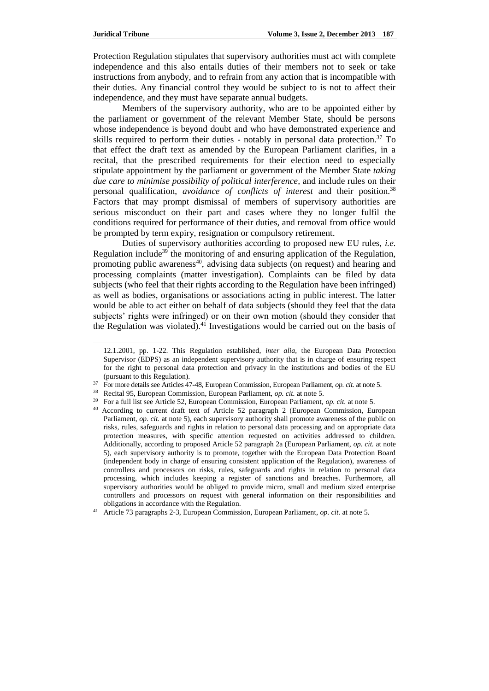Protection Regulation stipulates that supervisory authorities must act with complete independence and this also entails duties of their members not to seek or take instructions from anybody, and to refrain from any action that is incompatible with their duties. Any financial control they would be subject to is not to affect their independence, and they must have separate annual budgets.

Members of the supervisory authority, who are to be appointed either by the parliament or government of the relevant Member State, should be persons whose independence is beyond doubt and who have demonstrated experience and skills required to perform their duties - notably in personal data protection.<sup>37</sup> To that effect the draft text as amended by the European Parliament clarifies, in a recital, that the prescribed requirements for their election need to especially stipulate appointment by the parliament or government of the Member State *taking due care to minimise possibility of political interference,* and include rules on their personal qualification, *avoidance of conflicts of interest* and their position.<sup>38</sup> Factors that may prompt dismissal of members of supervisory authorities are serious misconduct on their part and cases where they no longer fulfil the conditions required for performance of their duties, and removal from office would be prompted by term expiry, resignation or compulsory retirement.

Duties of supervisory authorities according to proposed new EU rules, *i.e.* Regulation include<sup>39</sup> the monitoring of and ensuring application of the Regulation, promoting public awareness $40$ , advising data subjects (on request) and hearing and processing complaints (matter investigation). Complaints can be filed by data subjects (who feel that their rights according to the Regulation have been infringed) as well as bodies, organisations or associations acting in public interest. The latter would be able to act either on behalf of data subjects (should they feel that the data subjects' rights were infringed) or on their own motion (should they consider that the Regulation was violated).<sup>41</sup> Investigations would be carried out on the basis of

<sup>12.1.2001,</sup> pp. 1-22. This Regulation established, *inter alia*, the European Data Protection Supervisor (EDPS) as an independent supervisory authority that is in charge of ensuring respect for the right to personal data protection and privacy in the institutions and bodies of the EU (pursuant to this Regulation).

<sup>37</sup> For more details see Articles 47-48, European Commission, European Parliament, *op. cit.* at note 5.

<sup>38</sup> Recital 95, European Commission, European Parliament, *op. cit.* at note 5.

<sup>39</sup> For a full list see Article 52, European Commission, European Parliament, *op. cit.* at note 5.

<sup>40</sup> According to current draft text of Article 52 paragraph 2 (European Commission, European Parliament, *op. cit.* at note 5), each supervisory authority shall promote awareness of the public on risks, rules, safeguards and rights in relation to personal data processing and on appropriate data protection measures, with specific attention requested on activities addressed to children. Additionally, according to proposed Article 52 paragraph 2a (European Parliament, *op. cit.* at note 5), each supervisory authority is to promote, together with the European Data Protection Board (independent body in charge of ensuring consistent application of the Regulation), awareness of controllers and processors on risks, rules, safeguards and rights in relation to personal data processing, which includes keeping a register of sanctions and breaches. Furthermore, all supervisory authorities would be obliged to provide micro, small and medium sized enterprise controllers and processors on request with general information on their responsibilities and obligations in accordance with the Regulation.

<sup>41</sup> Article 73 paragraphs 2-3, European Commission, European Parliament, *op. cit.* at note 5.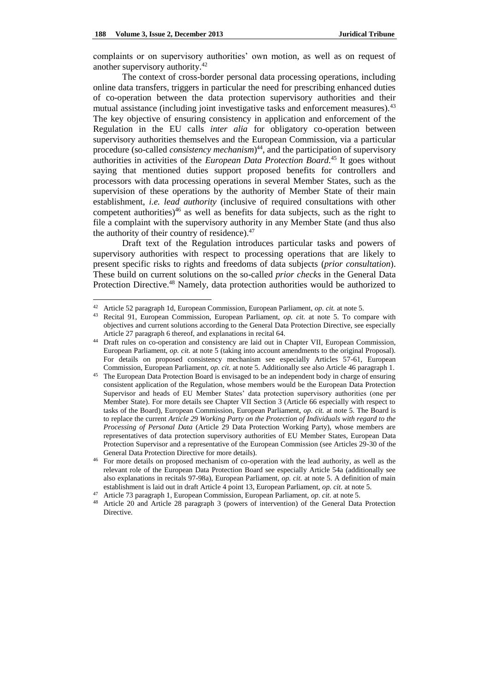complaints or on supervisory authorities' own motion, as well as on request of another supervisory authority.<sup>42</sup>

The context of cross-border personal data processing operations, including online data transfers, triggers in particular the need for prescribing enhanced duties of co-operation between the data protection supervisory authorities and their mutual assistance (including joint investigative tasks and enforcement measures).<sup>43</sup> The key objective of ensuring consistency in application and enforcement of the Regulation in the EU calls *inter alia* for obligatory co-operation between supervisory authorities themselves and the European Commission, via a particular procedure (so-called *consistency mechanism*) <sup>44</sup>, and the participation of supervisory authorities in activities of the *European Data Protection Board.* <sup>45</sup> It goes without saying that mentioned duties support proposed benefits for controllers and processors with data processing operations in several Member States, such as the supervision of these operations by the authority of Member State of their main establishment, *i.e. lead authority* (inclusive of required consultations with other competent authorities) $46$  as well as benefits for data subjects, such as the right to file a complaint with the supervisory authority in any Member State (and thus also the authority of their country of residence). $47$ 

Draft text of the Regulation introduces particular tasks and powers of supervisory authorities with respect to processing operations that are likely to present specific risks to rights and freedoms of data subjects (*prior consultation*). These build on current solutions on the so-called *prior checks* in the General Data Protection Directive.<sup>48</sup> Namely, data protection authorities would be authorized to

<sup>42</sup> Article 52 paragraph 1d, European Commission, European Parliament, *op. cit.* at note 5.

<sup>43</sup> Recital 91, European Commission, European Parliament, *op. cit.* at note 5. To compare with objectives and current solutions according to the General Data Protection Directive, see especially Article 27 paragraph 6 thereof, and explanations in recital 64.

<sup>&</sup>lt;sup>44</sup> Draft rules on co-operation and consistency are laid out in Chapter VII, European Commission, European Parliament, *op. cit.* at note 5 (taking into account amendments to the original Proposal). For details on proposed consistency mechanism see especially Articles 57-61, European Commission, European Parliament, *op. cit.* at note 5. Additionally see also Article 46 paragraph 1.

<sup>&</sup>lt;sup>45</sup> The European Data Protection Board is envisaged to be an independent body in charge of ensuring consistent application of the Regulation, whose members would be the European Data Protection Supervisor and heads of EU Member States' data protection supervisory authorities (one per Member State). For more details see Chapter VII Section 3 (Article 66 especially with respect to tasks of the Board), European Commission, European Parliament, *op. cit.* at note 5. The Board is to replace the current *Article 29 Working Party on the Protection of Individuals with regard to the Processing of Personal Data* (Article 29 Data Protection Working Party), whose members are representatives of data protection supervisory authorities of EU Member States, European Data Protection Supervisor and a representative of the European Commission (see Articles 29-30 of the General Data Protection Directive for more details).

<sup>46</sup> For more details on proposed mechanism of co-operation with the lead authority, as well as the relevant role of the European Data Protection Board see especially Article 54a (additionally see also explanations in recitals 97-98a), European Parliament, *op. cit.* at note 5. A definition of main establishment is laid out in draft Article 4 point 13, European Parliament, *op. cit.* at note 5.

<sup>47</sup> Article 73 paragraph 1, European Commission, European Parliament, *op. cit.* at note 5.

<sup>48</sup> Article 20 and Article 28 paragraph 3 (powers of intervention) of the General Data Protection Directive.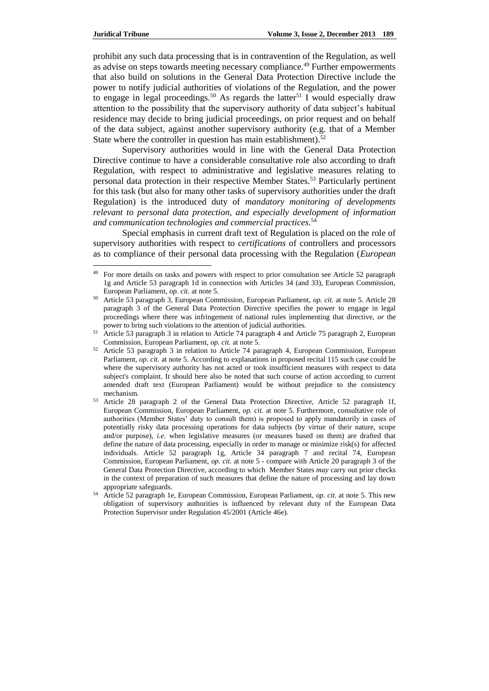l

prohibit any such data processing that is in contravention of the Regulation, as well as advise on steps towards meeting necessary compliance.<sup>49</sup> Further empowerments that also build on solutions in the General Data Protection Directive include the power to notify judicial authorities of violations of the Regulation, and the power to engage in legal proceedings.<sup>50</sup> As regards the latter<sup>51</sup> I would especially draw attention to the possibility that the supervisory authority of data subject's habitual residence may decide to bring judicial proceedings, on prior request and on behalf of the data subject, against another supervisory authority (e.g. that of a Member State where the controller in question has main establishment).<sup>52</sup>

Supervisory authorities would in line with the General Data Protection Directive continue to have a considerable consultative role also according to draft Regulation, with respect to administrative and legislative measures relating to personal data protection in their respective Member States.<sup>53</sup> Particularly pertinent for this task (but also for many other tasks of supervisory authorities under the draft Regulation) is the introduced duty of *mandatory monitoring of developments relevant to personal data protection, and especially development of information and communication technologies and commercial practices*. 54

Special emphasis in current draft text of Regulation is placed on the role of supervisory authorities with respect to *certifications* of controllers and processors as to compliance of their personal data processing with the Regulation (*European* 

<sup>&</sup>lt;sup>49</sup> For more details on tasks and powers with respect to prior consultation see Article 52 paragraph 1g and Article 53 paragraph 1d in connection with Articles 34 (and 33), European Commission, European Parliament, *op. cit.* at note 5.

<sup>50</sup> Article 53 paragraph 3, European Commission, European Parliament, *op. cit.* at note 5. Article 28 paragraph 3 of the General Data Protection Directive specifies the power to engage in legal proceedings where there was infringement of national rules implementing that directive, *or* the power to bring such violations to the attention of judicial authorities.

<sup>51</sup> Article 53 paragraph 3 in relation to Article 74 paragraph 4 and Article 75 paragraph 2, European Commission, European Parliament, *op. cit.* at note 5.

<sup>52</sup> Article 53 paragraph 3 in relation to Article 74 paragraph 4, European Commission, European Parliament, *op. cit.* at note 5. According to explanations in proposed recital 115 such case could be where the supervisory authority has not acted or took insufficient measures with respect to data subject's complaint. It should here also be noted that such course of action according to current amended draft text (European Parliament) would be without prejudice to the consistency mechanism.

<sup>53</sup> Article 28 paragraph 2 of the General Data Protection Directive, Article 52 paragraph 1f, European Commission, European Parliament, *op. cit.* at note 5. Furthermore, consultative role of authorities (Member States' duty to consult them) is proposed to apply mandatorily in cases of potentially risky data processing operations for data subjects (by virtue of their nature, scope and/or purpose), *i.e.* when legislative measures (or measures based on them) are drafted that define the nature of data processing, especially in order to manage or minimize risk(s) for affected individuals. Article 52 paragraph 1g, Article 34 paragraph 7 and recital 74, European Commission, European Parliament, *op. cit.* at note 5 - compare with Article 20 paragraph 3 of the General Data Protection Directive, according to which Member States *may* carry out prior checks in the context of preparation of such measures that define the nature of processing and lay down appropriate safeguards.

<sup>54</sup> Article 52 paragraph 1e, European Commission, European Parliament, *op. cit.* at note 5. This new obligation of supervisory authorities is influenced by relevant duty of the European Data Protection Supervisor under Regulation 45/2001 (Article 46e).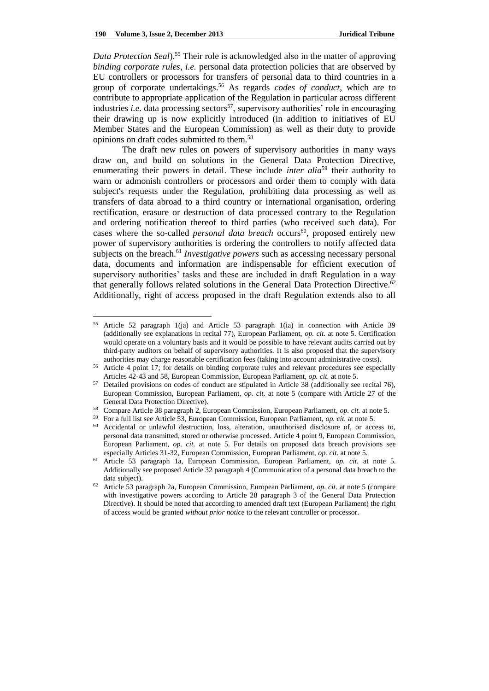*Data Protection Seal*).<sup>55</sup> Their role is acknowledged also in the matter of approving *binding corporate rules*, *i.e.* personal data protection policies that are observed by EU controllers or processors for transfers of personal data to third countries in a group of corporate undertakings.<sup>56</sup> As regards *codes of conduct*, which are to contribute to appropriate application of the Regulation in particular across different industries *i.e.* data processing sectors<sup>57</sup>, supervisory authorities' role in encouraging their drawing up is now explicitly introduced (in addition to initiatives of EU Member States and the European Commission) as well as their duty to provide opinions on draft codes submitted to them.<sup>58</sup>

The draft new rules on powers of supervisory authorities in many ways draw on, and build on solutions in the General Data Protection Directive, enumerating their powers in detail. These include *inter alia*<sup>59</sup> their authority to warn or admonish controllers or processors and order them to comply with data subject's requests under the Regulation, prohibiting data processing as well as transfers of data abroad to a third country or international organisation, ordering rectification, erasure or destruction of data processed contrary to the Regulation and ordering notification thereof to third parties (who received such data). For cases where the so-called *personal data breach* occurs<sup>60</sup>, proposed entirely new power of supervisory authorities is ordering the controllers to notify affected data subjects on the breach.<sup>61</sup> *Investigative powers* such as accessing necessary personal data, documents and information are indispensable for efficient execution of supervisory authorities' tasks and these are included in draft Regulation in a way that generally follows related solutions in the General Data Protection Directive.<sup>62</sup> Additionally, right of access proposed in the draft Regulation extends also to all

<sup>55</sup> Article 52 paragraph 1(ja) and Article 53 paragraph 1(ia) in connection with Article 39 (additionally see explanations in recital 77), European Parliament, *op. cit.* at note 5. Certification would operate on a voluntary basis and it would be possible to have relevant audits carried out by third-party auditors on behalf of supervisory authorities. It is also proposed that the supervisory authorities may charge reasonable certification fees (taking into account administrative costs).

<sup>56</sup> Article 4 point 17; for details on binding corporate rules and relevant procedures see especially Articles 42-43 and 58, European Commission, European Parliament, *op. cit.* at note 5.

<sup>&</sup>lt;sup>57</sup> Detailed provisions on codes of conduct are stipulated in Article 38 (additionally see recital 76), European Commission, European Parliament, *op. cit.* at note 5 (compare with Article 27 of the General Data Protection Directive).

<sup>58</sup> Compare Article 38 paragraph 2, European Commission, European Parliament, *op. cit.* at note 5.

<sup>59</sup> For a full list see Article 53, European Commission, European Parliament, *op. cit.* at note 5.

<sup>60</sup> Accidental or unlawful destruction, loss, alteration, unauthorised disclosure of, or access to, personal data transmitted, stored or otherwise processed. Article 4 point 9, European Commission, European Parliament, *op. cit.* at note 5. For details on proposed data breach provisions see especially Articles 31-32, European Commission, European Parliament, *op. cit.* at note 5.

<sup>61</sup> Article 53 paragraph 1a, European Commission, European Parliament, *op. cit.* at note 5. Additionally see proposed Article 32 paragraph 4 (Communication of a personal data breach to the data subject).

<sup>62</sup> Article 53 paragraph 2a, European Commission, European Parliament, *op. cit.* at note 5 (compare with investigative powers according to Article 28 paragraph 3 of the General Data Protection Directive). It should be noted that according to amended draft text (European Parliament) the right of access would be granted *without prior notice* to the relevant controller or processor.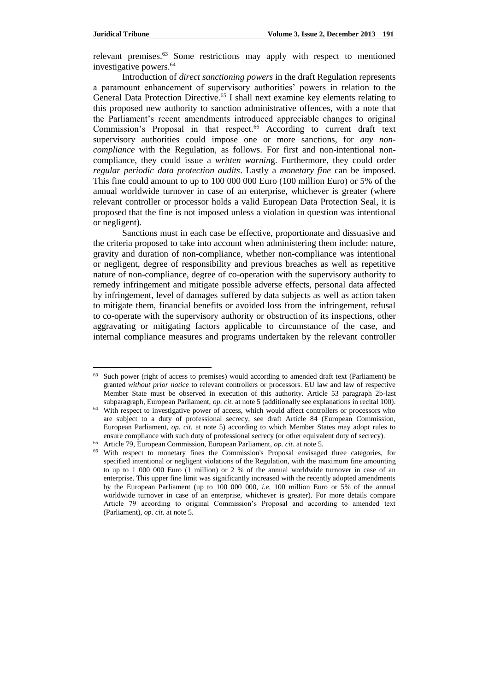relevant premises.<sup>63</sup> Some restrictions may apply with respect to mentioned investigative powers.<sup>64</sup>

Introduction of *direct sanctioning powers* in the draft Regulation represents a paramount enhancement of supervisory authorities' powers in relation to the General Data Protection Directive.<sup>65</sup> I shall next examine key elements relating to this proposed new authority to sanction administrative offences, with a note that the Parliament's recent amendments introduced appreciable changes to original Commission's Proposal in that respect.<sup>66</sup> According to current draft text supervisory authorities could impose one or more sanctions, for *any noncompliance* with the Regulation, as follows. For first and non-intentional noncompliance, they could issue a *written warnin*g. Furthermore, they could order *regular periodic data protection audits*. Lastly a *monetary fine* can be imposed. This fine could amount to up to 100 000 000 Euro (100 million Euro) or 5% of the annual worldwide turnover in case of an enterprise, whichever is greater (where relevant controller or processor holds a valid European Data Protection Seal, it is proposed that the fine is not imposed unless a violation in question was intentional or negligent).

Sanctions must in each case be effective, proportionate and dissuasive and the criteria proposed to take into account when administering them include: nature, gravity and duration of non-compliance, whether non-compliance was intentional or negligent, degree of responsibility and previous breaches as well as repetitive nature of non-compliance, degree of co-operation with the supervisory authority to remedy infringement and mitigate possible adverse effects, personal data affected by infringement, level of damages suffered by data subjects as well as action taken to mitigate them, financial benefits or avoided loss from the infringement, refusal to co-operate with the supervisory authority or obstruction of its inspections, other aggravating or mitigating factors applicable to circumstance of the case, and internal compliance measures and programs undertaken by the relevant controller

<sup>&</sup>lt;sup>63</sup> Such power (right of access to premises) would according to amended draft text (Parliament) be granted *without prior notice* to relevant controllers or processors. EU law and law of respective Member State must be observed in execution of this authority. Article 53 paragraph 2b-last subparagraph, European Parliament, *op. cit.* at note 5 (additionally see explanations in recital 100).

<sup>&</sup>lt;sup>64</sup> With respect to investigative power of access, which would affect controllers or processors who are subject to a duty of professional secrecy, see draft Article 84 (European Commission, European Parliament, *op. cit.* at note 5) according to which Member States may adopt rules to ensure compliance with such duty of professional secrecy (or other equivalent duty of secrecy).

<sup>65</sup> Article 79, European Commission, European Parliament, *op. cit.* at note 5.

<sup>66</sup> With respect to monetary fines the Commission's Proposal envisaged three categories, for specified intentional or negligent violations of the Regulation, with the maximum fine amounting to up to 1 000 000 Euro (1 million) or 2 % of the annual worldwide turnover in case of an enterprise. This upper fine limit was significantly increased with the recently adopted amendments by the European Parliament (up to 100 000 000, *i.e.* 100 million Euro or 5% of the annual worldwide turnover in case of an enterprise, whichever is greater). For more details compare Article 79 according to original Commission's Proposal and according to amended text (Parliament), *op. cit.* at note 5.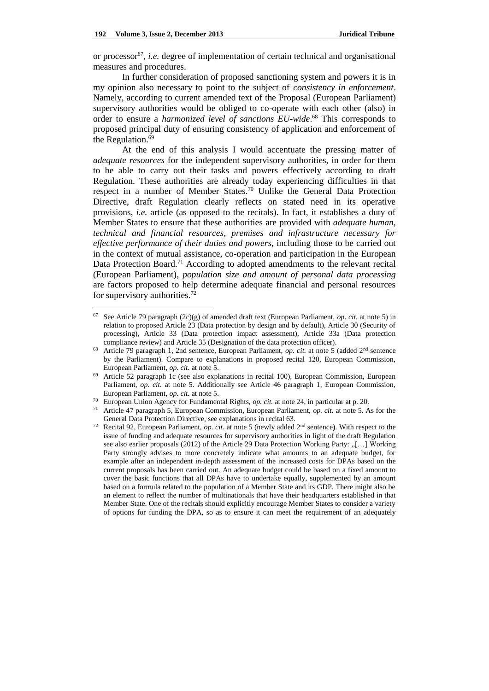or processor<sup>67</sup>, *i.e.* degree of implementation of certain technical and organisational measures and procedures.

In further consideration of proposed sanctioning system and powers it is in my opinion also necessary to point to the subject of *consistency in enforcement*. Namely, according to current amended text of the Proposal (European Parliament) supervisory authorities would be obliged to co-operate with each other (also) in order to ensure a *harmonized level of sanctions EU-wide*. <sup>68</sup> This corresponds to proposed principal duty of ensuring consistency of application and enforcement of the Regulation.<sup>69</sup>

At the end of this analysis I would accentuate the pressing matter of *adequate resources* for the independent supervisory authorities, in order for them to be able to carry out their tasks and powers effectively according to draft Regulation. These authorities are already today experiencing difficulties in that respect in a number of Member States.<sup>70</sup> Unlike the General Data Protection Directive, draft Regulation clearly reflects on stated need in its operative provisions, *i.e.* article (as opposed to the recitals). In fact, it establishes a duty of Member States to ensure that these authorities are provided with *adequate human, technical and financial resources, premises and infrastructure necessary for effective performance of their duties and powers*, including those to be carried out in the context of mutual assistance, co-operation and participation in the European Data Protection Board.<sup>71</sup> According to adopted amendments to the relevant recital (European Parliament), *population size and amount of personal data processing* are factors proposed to help determine adequate financial and personal resources for supervisory authorities. $72$ 

<sup>67</sup> See Article 79 paragraph (2c)(g) of amended draft text (European Parliament, *op. cit.* at note 5) in relation to proposed Article 23 (Data protection by design and by default), Article 30 (Security of processing), Article 33 (Data protection impact assessment), Article 33a (Data protection compliance review) and Article 35 (Designation of the data protection officer).

<sup>&</sup>lt;sup>68</sup> Article 79 paragraph 1, 2nd sentence, European Parliament, *op. cit.* at note 5 (added 2<sup>nd</sup> sentence by the Parliament). Compare to explanations in proposed recital 120, European Commission, European Parliament, *op. cit.* at note 5.

<sup>69</sup> Article 52 paragraph 1c (see also explanations in recital 100), European Commission, European Parliament, *op. cit.* at note 5. Additionally see Article 46 paragraph 1, European Commission, European Parliament, *op. cit.* at note 5.

European Union Agency for Fundamental Rights, *op. cit.* at note 24, in particular at p. 20.

<sup>71</sup> Article 47 paragraph 5, European Commission, European Parliament, *op. cit.* at note 5. As for the General Data Protection Directive, see explanations in recital 63.

<sup>72</sup> Recital 92, European Parliament, *op. cit*. at note 5 (newly added 2nd sentence). With respect to the issue of funding and adequate resources for supervisory authorities in light of the draft Regulation see also earlier proposals (2012) of the Article 29 Data Protection Working Party: "[...] Working Party strongly advises to more concretely indicate what amounts to an adequate budget, for example after an independent in-depth assessment of the increased costs for DPAs based on the current proposals has been carried out. An adequate budget could be based on a fixed amount to cover the basic functions that all DPAs have to undertake equally, supplemented by an amount based on a formula related to the population of a Member State and its GDP. There might also be an element to reflect the number of multinationals that have their headquarters established in that Member State. One of the recitals should explicitly encourage Member States to consider a variety of options for funding the DPA, so as to ensure it can meet the requirement of an adequately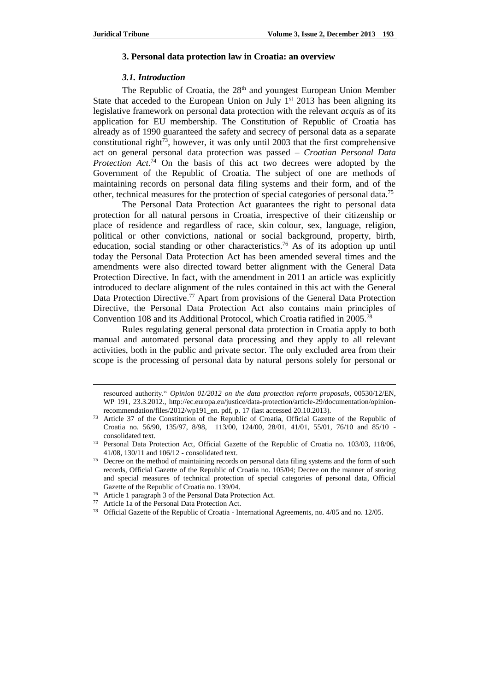#### **3. Personal data protection law in Croatia: an overview**

### *3.1. Introduction*

The Republic of Croatia, the 28<sup>th</sup> and youngest European Union Member State that acceded to the European Union on July  $1<sup>st</sup>$  2013 has been aligning its legislative framework on personal data protection with the relevant *acquis* as of its application for EU membership. The Constitution of Republic of Croatia has already as of 1990 guaranteed the safety and secrecy of personal data as a separate constitutional right<sup>73</sup>, however, it was only until 2003 that the first comprehensive act on general personal data protection was passed – *Croatian Personal Data Protection Act*. <sup>74</sup> On the basis of this act two decrees were adopted by the Government of the Republic of Croatia. The subject of one are methods of maintaining records on personal data filing systems and their form, and of the other, technical measures for the protection of special categories of personal data.<sup>75</sup>

The Personal Data Protection Act guarantees the right to personal data protection for all natural persons in Croatia, irrespective of their citizenship or place of residence and regardless of race, skin colour, sex, language, religion, political or other convictions, national or social background, property, birth, education, social standing or other characteristics.<sup>76</sup> As of its adoption up until today the Personal Data Protection Act has been amended several times and the amendments were also directed toward better alignment with the General Data Protection Directive. In fact, with the amendment in 2011 an article was explicitly introduced to declare alignment of the rules contained in this act with the General Data Protection Directive.<sup>77</sup> Apart from provisions of the General Data Protection Directive, the Personal Data Protection Act also contains main principles of Convention 108 and its Additional Protocol, which Croatia ratified in 2005.<sup>78</sup>

Rules regulating general personal data protection in Croatia apply to both manual and automated personal data processing and they apply to all relevant activities, both in the public and private sector. The only excluded area from their scope is the processing of personal data by natural persons solely for personal or

resourced authority." *Opinion 01/2012 on the data protection reform proposals*, 00530/12/EN, WP 191, 23.3.2012., http://ec.europa.eu/justice/data-protection/article-29/documentation/opinionrecommendation/files/2012/wp191\_en. pdf, p. 17 (last accessed 20.10.2013).

<sup>&</sup>lt;sup>73</sup> Article 37 of the Constitution of the Republic of Croatia, Official Gazette of the Republic of Croatia no. 56/90, 135/97, 8/98, 113/00, 124/00, 28/01, 41/01, 55/01, 76/10 and 85/10 consolidated text.

<sup>74</sup> Personal Data Protection Act, Official Gazette of the Republic of Croatia no. 103/03, 118/06, 41/08, 130/11 and 106/12 - consolidated text.

<sup>&</sup>lt;sup>75</sup> Decree on the method of maintaining records on personal data filing systems and the form of such records, Official Gazette of the Republic of Croatia no. 105/04; Decree on the manner of storing and special measures of technical protection of special categories of personal data, Official Gazette of the Republic of Croatia no. 139/04.

<sup>76</sup> Article 1 paragraph 3 of the Personal Data Protection Act.

<sup>77</sup> Article 1a of the Personal Data Protection Act.

<sup>78</sup> Official Gazette of the Republic of Croatia - International Agreements, no. 4/05 and no. 12/05.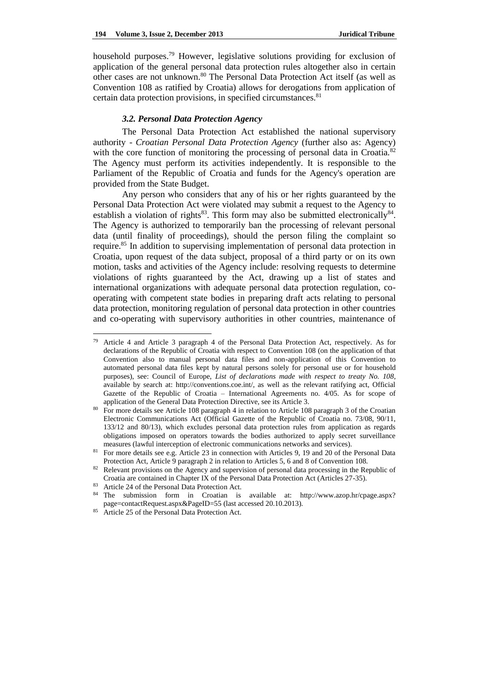household purposes.<sup>79</sup> However, legislative solutions providing for exclusion of application of the general personal data protection rules altogether also in certain other cases are not unknown.<sup>80</sup> The Personal Data Protection Act itself (as well as Convention 108 as ratified by Croatia) allows for derogations from application of certain data protection provisions, in specified circumstances.<sup>81</sup>

### *3.2. Personal Data Protection Agency*

The Personal Data Protection Act established the national supervisory authority - *Croatian Personal Data Protection Agency* (further also as: Agency) with the core function of monitoring the processing of personal data in Croatia.<sup>82</sup> The Agency must perform its activities independently. It is responsible to the Parliament of the Republic of Croatia and funds for the Agency's operation are provided from the State Budget.

Any person who considers that any of his or her rights guaranteed by the Personal Data Protection Act were violated may submit a request to the Agency to establish a violation of rights<sup>83</sup>. This form may also be submitted electronically<sup>84</sup>. The Agency is authorized to temporarily ban the processing of relevant personal data (until finality of proceedings), should the person filing the complaint so require.<sup>85</sup> In addition to supervising implementation of personal data protection in Croatia, upon request of the data subject, proposal of a third party or on its own motion, tasks and activities of the Agency include: resolving requests to determine violations of rights guaranteed by the Act, drawing up a list of states and international organizations with adequate personal data protection regulation, cooperating with competent state bodies in preparing draft acts relating to personal data protection, monitoring regulation of personal data protection in other countries and co-operating with supervisory authorities in other countries, maintenance of

 $\overline{a}$ 

<sup>79</sup> Article 4 and Article 3 paragraph 4 of the Personal Data Protection Act, respectively. As for declarations of the Republic of Croatia with respect to Convention 108 (on the application of that Convention also to manual personal data files and non-application of this Convention to automated personal data files kept by natural persons solely for personal use or for household purposes), see: Council of Europe, *List of declarations made with respect to treaty No. 108*, available by search at: http://conventions.coe.int/, as well as the relevant ratifying act, Official Gazette of the Republic of Croatia – International Agreements no. 4/05. As for scope of application of the General Data Protection Directive, see its Article 3.

<sup>80</sup> For more details see Article 108 paragraph 4 in relation to Article 108 paragraph 3 of the Croatian Electronic Communications Act (Official Gazette of the Republic of Croatia no. 73/08, 90/11, 133/12 and 80/13), which excludes personal data protection rules from application as regards obligations imposed on operators towards the bodies authorized to apply secret surveillance measures (lawful interception of electronic communications networks and services).

<sup>&</sup>lt;sup>81</sup> For more details see e.g. Article 23 in connection with Articles 9, 19 and 20 of the Personal Data Protection Act, Article 9 paragraph 2 in relation to Articles 5, 6 and 8 of Convention 108.

<sup>&</sup>lt;sup>82</sup> Relevant provisions on the Agency and supervision of personal data processing in the Republic of Croatia are contained in Chapter IX of the Personal Data Protection Act (Articles 27-35).

<sup>83</sup> Article 24 of the Personal Data Protection Act.

<sup>84</sup> The submission form in Croatian is available at: http://www.azop.hr/cpage.aspx? page=contactRequest.aspx&PageID=55 (last accessed 20.10.2013).

<sup>85</sup> Article 25 of the Personal Data Protection Act.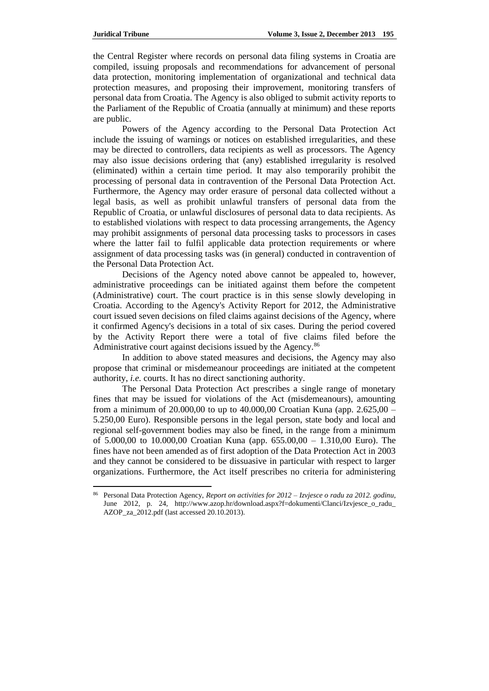the Central Register where records on personal data filing systems in Croatia are compiled, issuing proposals and recommendations for advancement of personal data protection, monitoring implementation of organizational and technical data protection measures, and proposing their improvement, monitoring transfers of personal data from Croatia. The Agency is also obliged to submit activity reports to the Parliament of the Republic of Croatia (annually at minimum) and these reports are public.

Powers of the Agency according to the Personal Data Protection Act include the issuing of warnings or notices on established irregularities, and these may be directed to controllers, data recipients as well as processors. The Agency may also issue decisions ordering that (any) established irregularity is resolved (eliminated) within a certain time period. It may also temporarily prohibit the processing of personal data in contravention of the Personal Data Protection Act. Furthermore, the Agency may order erasure of personal data collected without a legal basis, as well as prohibit unlawful transfers of personal data from the Republic of Croatia, or unlawful disclosures of personal data to data recipients. As to established violations with respect to data processing arrangements, the Agency may prohibit assignments of personal data processing tasks to processors in cases where the latter fail to fulfil applicable data protection requirements or where assignment of data processing tasks was (in general) conducted in contravention of the Personal Data Protection Act.

Decisions of the Agency noted above cannot be appealed to, however, administrative proceedings can be initiated against them before the competent (Administrative) court. The court practice is in this sense slowly developing in Croatia. According to the Agency's Activity Report for 2012, the Administrative court issued seven decisions on filed claims against decisions of the Agency, where it confirmed Agency's decisions in a total of six cases. During the period covered by the Activity Report there were a total of five claims filed before the Administrative court against decisions issued by the Agency.<sup>86</sup>

In addition to above stated measures and decisions, the Agency may also propose that criminal or misdemeanour proceedings are initiated at the competent authority, *i.e.* courts. It has no direct sanctioning authority.

The Personal Data Protection Act prescribes a single range of monetary fines that may be issued for violations of the Act (misdemeanours), amounting from a minimum of 20.000,00 to up to  $40.000,00$  Croatian Kuna (app. 2.625,00 – 5.250,00 Euro). Responsible persons in the legal person, state body and local and regional self-government bodies may also be fined, in the range from a minimum of 5.000,00 to 10.000,00 Croatian Kuna (app. 655.00,00 – 1.310,00 Euro). The fines have not been amended as of first adoption of the Data Protection Act in 2003 and they cannot be considered to be dissuasive in particular with respect to larger organizations. Furthermore, the Act itself prescribes no criteria for administering

<sup>86</sup> Personal Data Protection Agency, *Report on activities for 2012* – *Izvjesce o radu za 2012. godinu*, June 2012, p. 24, [http://www.azop.hr/download.aspx?f=dokumenti/Clanci/Izvjesce\\_o\\_radu\\_](http://www.azop.hr/download.aspx?f=dokumenti/Clanci/Izvjesce_o_radu_) AZOP\_za\_2012.pdf (last accessed 20.10.2013).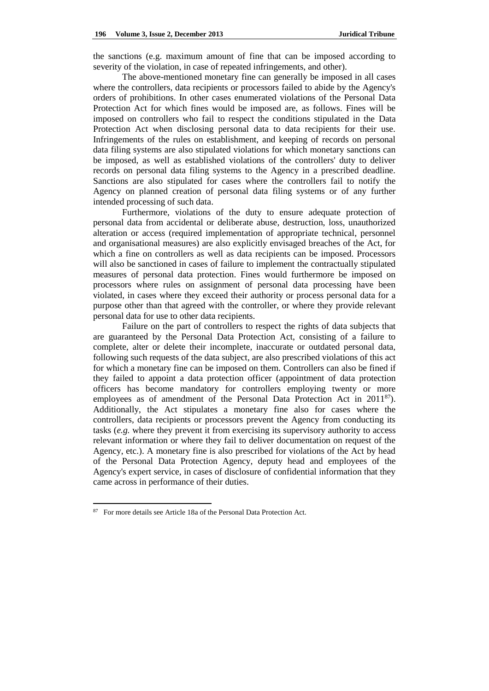the sanctions (e.g. maximum amount of fine that can be imposed according to severity of the violation, in case of repeated infringements, and other).

The above-mentioned monetary fine can generally be imposed in all cases where the controllers, data recipients or processors failed to abide by the Agency's orders of prohibitions. In other cases enumerated violations of the Personal Data Protection Act for which fines would be imposed are, as follows. Fines will be imposed on controllers who fail to respect the conditions stipulated in the Data Protection Act when disclosing personal data to data recipients for their use. Infringements of the rules on establishment, and keeping of records on personal data filing systems are also stipulated violations for which monetary sanctions can be imposed, as well as established violations of the controllers' duty to deliver records on personal data filing systems to the Agency in a prescribed deadline. Sanctions are also stipulated for cases where the controllers fail to notify the Agency on planned creation of personal data filing systems or of any further intended processing of such data.

Furthermore, violations of the duty to ensure adequate protection of personal data from accidental or deliberate abuse, destruction, loss, unauthorized alteration or access (required implementation of appropriate technical, personnel and organisational measures) are also explicitly envisaged breaches of the Act, for which a fine on controllers as well as data recipients can be imposed. Processors will also be sanctioned in cases of failure to implement the contractually stipulated measures of personal data protection. Fines would furthermore be imposed on processors where rules on assignment of personal data processing have been violated, in cases where they exceed their authority or process personal data for a purpose other than that agreed with the controller, or where they provide relevant personal data for use to other data recipients.

Failure on the part of controllers to respect the rights of data subjects that are guaranteed by the Personal Data Protection Act, consisting of a failure to complete, alter or delete their incomplete, inaccurate or outdated personal data, following such requests of the data subject, are also prescribed violations of this act for which a monetary fine can be imposed on them. Controllers can also be fined if they failed to appoint a data protection officer (appointment of data protection officers has become mandatory for controllers employing twenty or more employees as of amendment of the Personal Data Protection Act in 2011<sup>87</sup>). Additionally, the Act stipulates a monetary fine also for cases where the controllers, data recipients or processors prevent the Agency from conducting its tasks (*e.g.* where they prevent it from exercising its supervisory authority to access relevant information or where they fail to deliver documentation on request of the Agency, etc.). A monetary fine is also prescribed for violations of the Act by head of the Personal Data Protection Agency, deputy head and employees of the Agency's expert service, in cases of disclosure of confidential information that they came across in performance of their duties.

<sup>87</sup> For more details see Article 18a of the Personal Data Protection Act.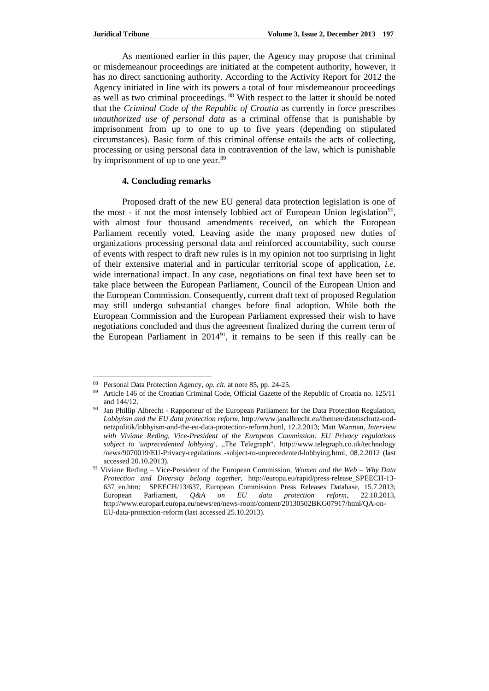As mentioned earlier in this paper, the Agency may propose that criminal or misdemeanour proceedings are initiated at the competent authority, however, it has no direct sanctioning authority. According to the Activity Report for 2012 the Agency initiated in line with its powers a total of four misdemeanour proceedings as well as two criminal proceedings. <sup>88</sup> With respect to the latter it should be noted that the *Criminal Code of the Republic of Croatia* as currently in force prescribes *unauthorized use of personal data* as a criminal offense that is punishable by imprisonment from up to one to up to five years (depending on stipulated circumstances). Basic form of this criminal offense entails the acts of collecting, processing or using personal data in contravention of the law, which is punishable by imprisonment of up to one year.<sup>89</sup>

# **4. Concluding remarks**

Proposed draft of the new EU general data protection legislation is one of the most - if not the most intensely lobbied act of European Union legislation<sup>90</sup>, with almost four thousand amendments received, on which the European Parliament recently voted. Leaving aside the many proposed new duties of organizations processing personal data and reinforced accountability, such course of events with respect to draft new rules is in my opinion not too surprising in light of their extensive material and in particular territorial scope of application, *i.e.* wide international impact. In any case, negotiations on final text have been set to take place between the European Parliament, Council of the European Union and the European Commission. Consequently, current draft text of proposed Regulation may still undergo substantial changes before final adoption. While both the European Commission and the European Parliament expressed their wish to have negotiations concluded and thus the agreement finalized during the current term of the European Parliament in 2014<sup>91</sup>, it remains to be seen if this really can be

<sup>88</sup> Personal Data Protection Agency, *op. cit.* at note 85, pp. 24-25.

<sup>89</sup> Article 146 of the Croatian Criminal Code, Official Gazette of the Republic of Croatia no. 125/11 and 144/12.

<sup>&</sup>lt;sup>90</sup> Jan Phillip Albrecht - Rapporteur of the European Parliament for the Data Protection Regulation, *Lobbyism and the EU data protection reform*, http://www.janalbrecht.eu/themen/datenschutz-undnetzpolitik/lobbyism-and-the-eu-data-protection-reform.html, 12.2.2013; Matt Warman, *Interview with Viviane Reding, Vice-President of the European Commission: EU Privacy regulations subject to 'unprecedented lobbying'*, "The Telegraph", <http://www.telegraph.co.uk/technology> /news/9070019/EU-Privacy-regulations -subject-to-unprecedented-lobbying.html, 08.2.2012 (last accessed 20.10.2013).

<sup>91</sup> Viviane Reding – Vice-President of the European Commission, *Women and the Web – Why Data Protection and Diversity belong together*, http://europa.eu/rapid/press-release\_SPEECH-13- 637\_en.htm; SPEECH/13/637, European Commission Press Releases Database, 15.7.2013; European Parliament, *Q&A on EU data protection reform*, 22.10.2013, http://www.europarl.europa.eu/news/en/news-room/content/20130502BKG07917/html/QA-on-EU-data-protection-reform (last accessed 25.10.2013).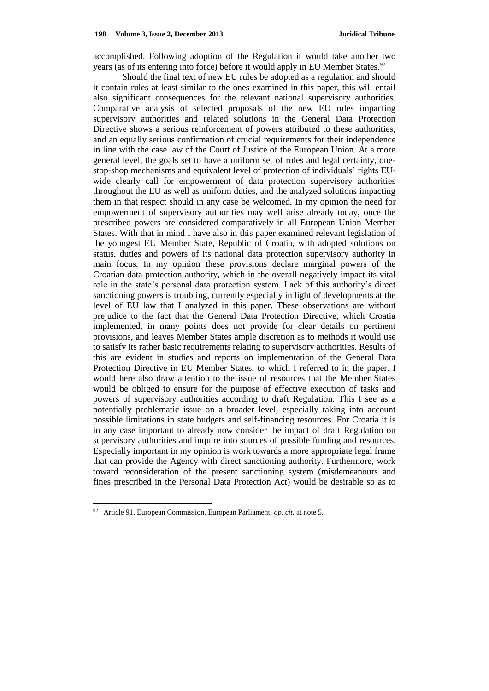accomplished. Following adoption of the Regulation it would take another two years (as of its entering into force) before it would apply in EU Member States.<sup>92</sup>

Should the final text of new EU rules be adopted as a regulation and should it contain rules at least similar to the ones examined in this paper, this will entail also significant consequences for the relevant national supervisory authorities. Comparative analysis of selected proposals of the new EU rules impacting supervisory authorities and related solutions in the General Data Protection Directive shows a serious reinforcement of powers attributed to these authorities, and an equally serious confirmation of crucial requirements for their independence in line with the case law of the Court of Justice of the European Union. At a more general level, the goals set to have a uniform set of rules and legal certainty, onestop-shop mechanisms and equivalent level of protection of individuals' rights EUwide clearly call for empowerment of data protection supervisory authorities throughout the EU as well as uniform duties, and the analyzed solutions impacting them in that respect should in any case be welcomed. In my opinion the need for empowerment of supervisory authorities may well arise already today, once the prescribed powers are considered comparatively in all European Union Member States. With that in mind I have also in this paper examined relevant legislation of the youngest EU Member State, Republic of Croatia, with adopted solutions on status, duties and powers of its national data protection supervisory authority in main focus. In my opinion these provisions declare marginal powers of the Croatian data protection authority, which in the overall negatively impact its vital role in the state's personal data protection system. Lack of this authority's direct sanctioning powers is troubling, currently especially in light of developments at the level of EU law that I analyzed in this paper. These observations are without prejudice to the fact that the General Data Protection Directive, which Croatia implemented, in many points does not provide for clear details on pertinent provisions, and leaves Member States ample discretion as to methods it would use to satisfy its rather basic requirements relating to supervisory authorities. Results of this are evident in studies and reports on implementation of the General Data Protection Directive in EU Member States, to which I referred to in the paper. I would here also draw attention to the issue of resources that the Member States would be obliged to ensure for the purpose of effective execution of tasks and powers of supervisory authorities according to draft Regulation. This I see as a potentially problematic issue on a broader level, especially taking into account possible limitations in state budgets and self-financing resources. For Croatia it is in any case important to already now consider the impact of draft Regulation on supervisory authorities and inquire into sources of possible funding and resources. Especially important in my opinion is work towards a more appropriate legal frame that can provide the Agency with direct sanctioning authority. Furthermore, work toward reconsideration of the present sanctioning system (misdemeanours and fines prescribed in the Personal Data Protection Act) would be desirable so as to

<sup>92</sup> Article 91, European Commission, European Parliament, *op. cit.* at note 5.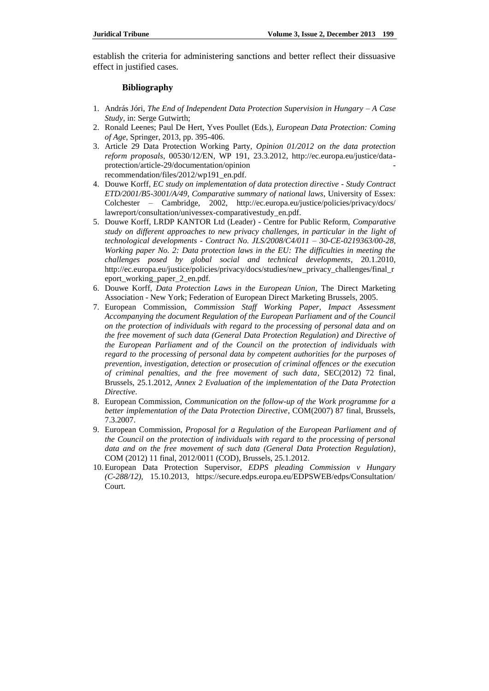establish the criteria for administering sanctions and better reflect their dissuasive effect in justified cases.

### **Bibliography**

- 1. András Jóri, *The End of Independent Data Protection Supervision in Hungary – A Case Study*, in: Serge Gutwirth;
- 2. Ronald Leenes; Paul De Hert, Yves Poullet (Eds.), *European Data Protection: Coming of Age*, Springer, 2013, pp. 395-406.
- 3. Article 29 Data Protection Working Party, *Opinion 01/2012 on the data protection reform proposals*, 00530/12/EN, WP 191, 23.3.2012, http://ec.europa.eu/justice/dataprotection/article-29/documentation/opinion recommendation/files/2012/wp191\_en.pdf.
- 4. Douwe Korff, *EC study on implementation of data protection directive - Study Contract ETD/2001/B5-3001/A/49, Comparative summary of national laws*, University of Essex: Colchester – Cambridge, 2002, <http://ec.europa.eu/justice/policies/privacy/docs/> lawreport/consultation/univessex-comparativestudy\_en.pdf.
- 5. Douwe Korff, LRDP KANTOR Ltd (Leader) Centre for Public Reform, *Comparative study on different approaches to new privacy challenges, in particular in the light of technological developments - Contract No. JLS/2008/C4/011 – 30-CE-0219363/00-28, Working paper No. 2: Data protection laws in the EU: The difficulties in meeting the challenges posed by global social and technical developments*, 20.1.2010, http://ec.europa.eu/justice/policies/privacy/docs/studies/new\_privacy\_challenges/final\_r eport\_working\_paper\_2\_en.pdf.
- 6. Douwe Korff, *Data Protection Laws in the European Union*, The Direct Marketing Association - New York; Federation of European Direct Marketing Brussels, 2005.
- 7. European Commission, *Commission Staff Working Paper, Impact Assessment Accompanying the document Regulation of the European Parliament and of the Council on the protection of individuals with regard to the processing of personal data and on the free movement of such data (General Data Protection Regulation) and Directive of the European Parliament and of the Council on the protection of individuals with regard to the processing of personal data by competent authorities for the purposes of prevention, investigation, detection or prosecution of criminal offences or the execution of criminal penalties, and the free movement of such data*, SEC(2012) 72 final, Brussels, 25.1.2012, *Annex 2 Evaluation of the implementation of the Data Protection Directive*.
- 8. European Commission, *Communication on the follow-up of the Work programme for a better implementation of the Data Protection Directive*, COM(2007) 87 final, Brussels, 7.3.2007.
- 9. European Commission, *Proposal for a Regulation of the European Parliament and of the Council on the protection of individuals with regard to the processing of personal data and on the free movement of such data (General Data Protection Regulation)*, COM (2012) 11 final, 2012/0011 (COD), Brussels, 25.1.2012.
- 10. European Data Protection Supervisor, *EDPS pleading Commission v Hungary (C-288/12)*, 15.10.2013, https://secure.edps.europa.eu/EDPSWEB/edps/Consultation/ Court.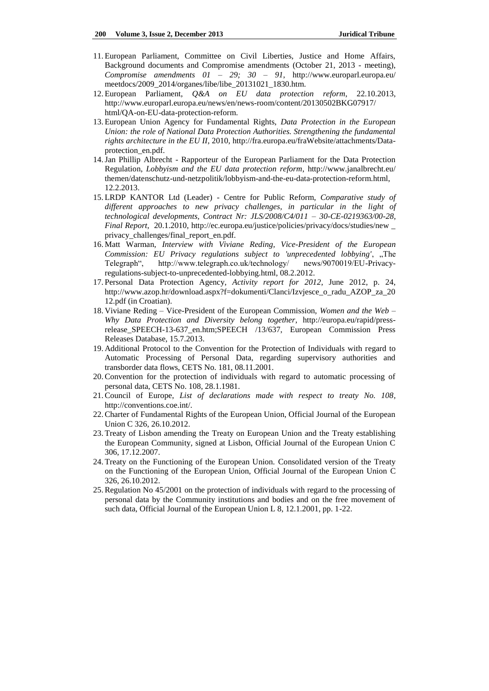- 11. European Parliament, Committee on Civil Liberties, Justice and Home Affairs, Background documents and Compromise amendments (October 21, 2013 - meeting), *Compromise amendments 01 – 29; 30 – 91*, http://www.europarl.europa.eu/ meetdocs/2009\_2014/organes/libe/libe\_20131021\_1830.htm.
- 12. European Parliament, *Q&A on EU data protection reform*, 22.10.2013, http://www.europarl.europa.eu/news/en/news-room/content/20130502BKG07917/ html/QA-on-EU-data-protection-reform.
- 13. European Union Agency for Fundamental Rights, *Data Protection in the European Union: the role of National Data Protection Authorities. Strengthening the fundamental rights architecture in the EU II*, 2010, http://fra.europa.eu/fraWebsite/attachments/Dataprotection\_en.pdf.
- 14.Jan Phillip Albrecht Rapporteur of the European Parliament for the Data Protection Regulation, *Lobbyism and the EU data protection reform*, http://www.janalbrecht.eu/ themen/datenschutz-und-netzpolitik/lobbyism-and-the-eu-data-protection-reform.html, 12.2.2013.
- 15. LRDP KANTOR Ltd (Leader) Centre for Public Reform, *Comparative study of different approaches to new privacy challenges, in particular in the light of technological developments, Contract Nr: JLS/2008/C4/011 – 30-CE-0219363/00-28*, *Final Report*, 20.1.2010, http://ec.europa.eu/justice/policies/privacy/docs/studies/new \_ privacy\_challenges/final\_report\_en.pdf.
- 16. Matt Warman, *Interview with Viviane Reding, Vice-President of the European Commission: EU Privacy regulations subject to 'unprecedented lobbying'*, "The Telegraph", http://www.telegraph.co.uk/technology/ news/9070019/EU-Privacyregulations-subject-to-unprecedented-lobbying.html, 08.2.2012.
- 17. Personal Data Protection Agency, *Activity report for 2012*, June 2012, p. 24, http://www.azop.hr/download.aspx?f=dokumenti/Clanci/Izvjesce\_o\_radu\_AZOP\_za\_20 12.pdf (in Croatian).
- 18. Viviane Reding Vice-President of the European Commission, *Women and the Web – Why Data Protection and Diversity belong together*, http://europa.eu/rapid/pressrelease\_SPEECH-13-637\_en.htm;SPEECH /13/637, European Commission Press Releases Database, 15.7.2013.
- 19. Additional Protocol to the Convention for the Protection of Individuals with regard to Automatic Processing of Personal Data, regarding supervisory authorities and transborder data flows, CETS No. 181, 08.11.2001.
- 20.Convention for the protection of individuals with regard to automatic processing of personal data, CETS No. 108, 28.1.1981.
- 21.Council of Europe, *List of declarations made with respect to treaty No. 108*, http://conventions.coe.int/.
- 22.Charter of Fundamental Rights of the European Union, Official Journal of the European Union C 326, 26.10.2012.
- 23. Treaty of Lisbon amending the Treaty on European Union and the Treaty establishing the European Community, signed at Lisbon, Official Journal of the European Union C 306, 17.12.2007.
- 24. Treaty on the Functioning of the European Union. Consolidated version of the Treaty on the Functioning of the European Union, Official Journal of the European Union C 326, 26.10.2012.
- 25.Regulation No 45/2001 on the protection of individuals with regard to the processing of personal data by the Community institutions and bodies and on the free movement of such data, Official Journal of the European Union L 8, 12.1.2001, pp. 1-22.